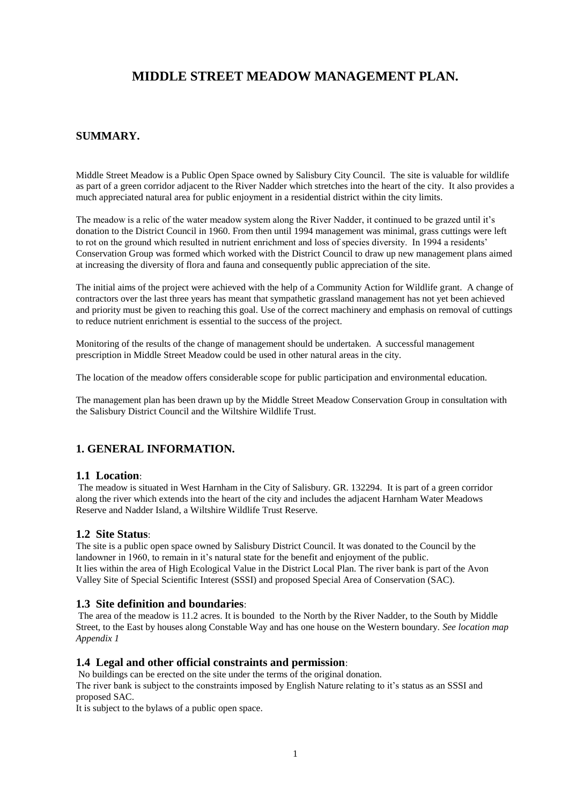# **MIDDLE STREET MEADOW MANAGEMENT PLAN.**

## **SUMMARY.**

Middle Street Meadow is a Public Open Space owned by Salisbury City Council. The site is valuable for wildlife as part of a green corridor adjacent to the River Nadder which stretches into the heart of the city. It also provides a much appreciated natural area for public enjoyment in a residential district within the city limits.

The meadow is a relic of the water meadow system along the River Nadder, it continued to be grazed until it's donation to the District Council in 1960. From then until 1994 management was minimal, grass cuttings were left to rot on the ground which resulted in nutrient enrichment and loss of species diversity. In 1994 a residents' Conservation Group was formed which worked with the District Council to draw up new management plans aimed at increasing the diversity of flora and fauna and consequently public appreciation of the site.

The initial aims of the project were achieved with the help of a Community Action for Wildlife grant. A change of contractors over the last three years has meant that sympathetic grassland management has not yet been achieved and priority must be given to reaching this goal. Use of the correct machinery and emphasis on removal of cuttings to reduce nutrient enrichment is essential to the success of the project.

Monitoring of the results of the change of management should be undertaken. A successful management prescription in Middle Street Meadow could be used in other natural areas in the city.

The location of the meadow offers considerable scope for public participation and environmental education.

The management plan has been drawn up by the Middle Street Meadow Conservation Group in consultation with the Salisbury District Council and the Wiltshire Wildlife Trust.

# **1. GENERAL INFORMATION.**

### **1.1 Location**:

The meadow is situated in West Harnham in the City of Salisbury. GR. 132294. It is part of a green corridor along the river which extends into the heart of the city and includes the adjacent Harnham Water Meadows Reserve and Nadder Island, a Wiltshire Wildlife Trust Reserve.

### **1.2 Site Status**:

The site is a public open space owned by Salisbury District Council. It was donated to the Council by the landowner in 1960, to remain in it's natural state for the benefit and enjoyment of the public. It lies within the area of High Ecological Value in the District Local Plan. The river bank is part of the Avon Valley Site of Special Scientific Interest (SSSI) and proposed Special Area of Conservation (SAC).

#### **1.3 Site definition and boundaries**:

The area of the meadow is 11.2 acres. It is bounded to the North by the River Nadder, to the South by Middle Street, to the East by houses along Constable Way and has one house on the Western boundary. *See location map Appendix 1*

### **1.4 Legal and other official constraints and permission**:

No buildings can be erected on the site under the terms of the original donation. The river bank is subject to the constraints imposed by English Nature relating to it's status as an SSSI and proposed SAC.

It is subject to the bylaws of a public open space.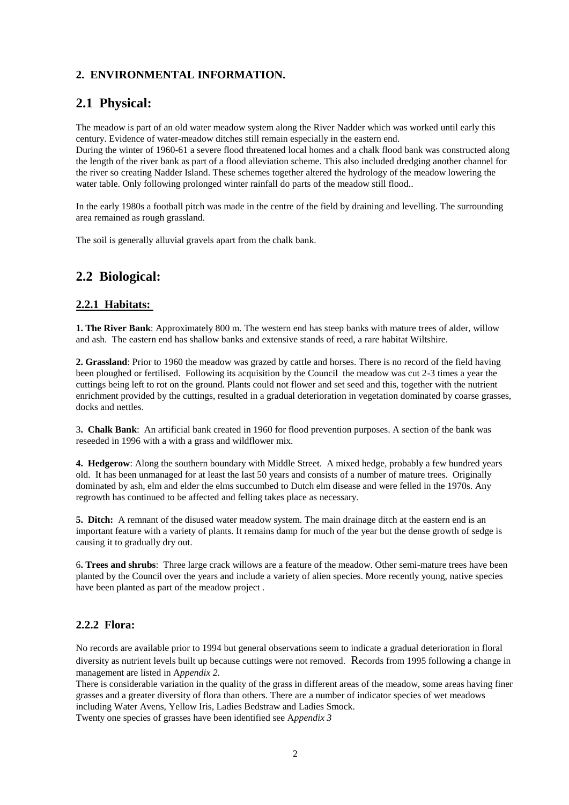# **2. ENVIRONMENTAL INFORMATION.**

# **2.1 Physical:**

The meadow is part of an old water meadow system along the River Nadder which was worked until early this century. Evidence of water-meadow ditches still remain especially in the eastern end.

During the winter of 1960-61 a severe flood threatened local homes and a chalk flood bank was constructed along the length of the river bank as part of a flood alleviation scheme. This also included dredging another channel for the river so creating Nadder Island. These schemes together altered the hydrology of the meadow lowering the water table. Only following prolonged winter rainfall do parts of the meadow still flood..

In the early 1980s a football pitch was made in the centre of the field by draining and levelling. The surrounding area remained as rough grassland.

The soil is generally alluvial gravels apart from the chalk bank.

# **2.2 Biological:**

# **2.2.1 Habitats:**

**1. The River Bank**: Approximately 800 m. The western end has steep banks with mature trees of alder, willow and ash. The eastern end has shallow banks and extensive stands of reed, a rare habitat Wiltshire.

**2. Grassland**: Prior to 1960 the meadow was grazed by cattle and horses. There is no record of the field having been ploughed or fertilised. Following its acquisition by the Council the meadow was cut 2-3 times a year the cuttings being left to rot on the ground. Plants could not flower and set seed and this, together with the nutrient enrichment provided by the cuttings, resulted in a gradual deterioration in vegetation dominated by coarse grasses, docks and nettles.

3**. Chalk Bank**: An artificial bank created in 1960 for flood prevention purposes. A section of the bank was reseeded in 1996 with a with a grass and wildflower mix.

**4. Hedgerow**: Along the southern boundary with Middle Street. A mixed hedge, probably a few hundred years old. It has been unmanaged for at least the last 50 years and consists of a number of mature trees. Originally dominated by ash, elm and elder the elms succumbed to Dutch elm disease and were felled in the 1970s. Any regrowth has continued to be affected and felling takes place as necessary.

**5. Ditch:** A remnant of the disused water meadow system. The main drainage ditch at the eastern end is an important feature with a variety of plants. It remains damp for much of the year but the dense growth of sedge is causing it to gradually dry out.

6**. Trees and shrubs**: Three large crack willows are a feature of the meadow. Other semi-mature trees have been planted by the Council over the years and include a variety of alien species. More recently young, native species have been planted as part of the meadow project .

# **2.2.2 Flora:**

No records are available prior to 1994 but general observations seem to indicate a gradual deterioration in floral diversity as nutrient levels built up because cuttings were not removed. Records from 1995 following a change in management are listed in A*ppendix 2.*

There is considerable variation in the quality of the grass in different areas of the meadow, some areas having finer grasses and a greater diversity of flora than others. There are a number of indicator species of wet meadows including Water Avens, Yellow Iris, Ladies Bedstraw and Ladies Smock.

Twenty one species of grasses have been identified see A*ppendix 3*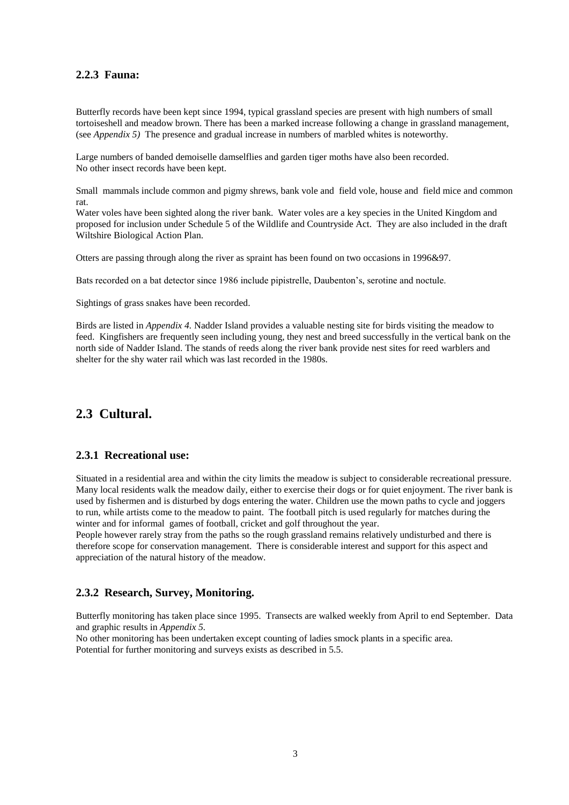### **2.2.3 Fauna:**

Butterfly records have been kept since 1994, typical grassland species are present with high numbers of small tortoiseshell and meadow brown. There has been a marked increase following a change in grassland management, (see *Appendix 5)* The presence and gradual increase in numbers of marbled whites is noteworthy.

Large numbers of banded demoiselle damselflies and garden tiger moths have also been recorded. No other insect records have been kept.

Small mammals include common and pigmy shrews, bank vole and field vole, house and field mice and common rat.

Water voles have been sighted along the river bank. Water voles are a key species in the United Kingdom and proposed for inclusion under Schedule 5 of the Wildlife and Countryside Act. They are also included in the draft Wiltshire Biological Action Plan.

Otters are passing through along the river as spraint has been found on two occasions in 1996&97.

Bats recorded on a bat detector since 1986 include pipistrelle, Daubenton's, serotine and noctule.

Sightings of grass snakes have been recorded.

Birds are listed in *Appendix 4.* Nadder Island provides a valuable nesting site for birds visiting the meadow to feed. Kingfishers are frequently seen including young, they nest and breed successfully in the vertical bank on the north side of Nadder Island. The stands of reeds along the river bank provide nest sites for reed warblers and shelter for the shy water rail which was last recorded in the 1980s.

# **2.3 Cultural.**

### **2.3.1 Recreational use:**

Situated in a residential area and within the city limits the meadow is subject to considerable recreational pressure. Many local residents walk the meadow daily, either to exercise their dogs or for quiet enjoyment. The river bank is used by fishermen and is disturbed by dogs entering the water. Children use the mown paths to cycle and joggers to run, while artists come to the meadow to paint. The football pitch is used regularly for matches during the winter and for informal games of football, cricket and golf throughout the year.

People however rarely stray from the paths so the rough grassland remains relatively undisturbed and there is therefore scope for conservation management. There is considerable interest and support for this aspect and appreciation of the natural history of the meadow.

### **2.3.2 Research, Survey, Monitoring.**

Butterfly monitoring has taken place since 1995. Transects are walked weekly from April to end September. Data and graphic results in *Appendix 5.*

No other monitoring has been undertaken except counting of ladies smock plants in a specific area. Potential for further monitoring and surveys exists as described in 5.5.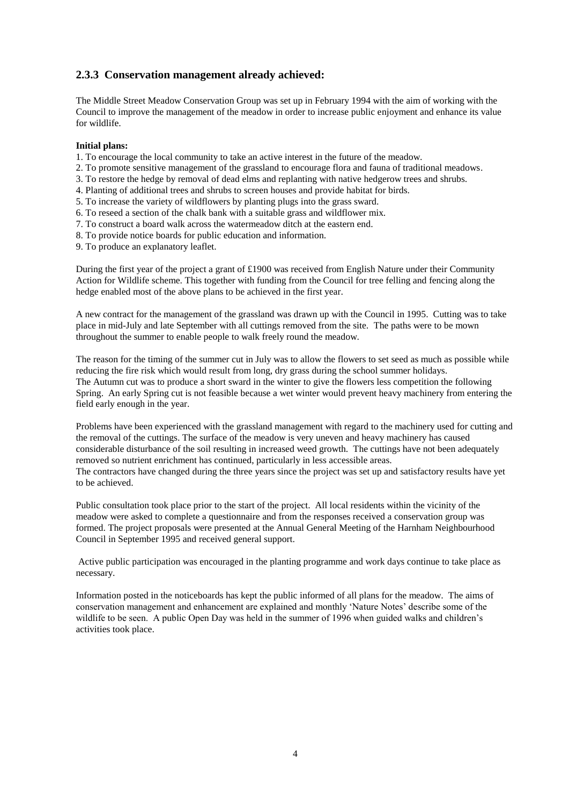## **2.3.3 Conservation management already achieved:**

The Middle Street Meadow Conservation Group was set up in February 1994 with the aim of working with the Council to improve the management of the meadow in order to increase public enjoyment and enhance its value for wildlife.

#### **Initial plans:**

- 1. To encourage the local community to take an active interest in the future of the meadow.
- 2. To promote sensitive management of the grassland to encourage flora and fauna of traditional meadows.
- 3. To restore the hedge by removal of dead elms and replanting with native hedgerow trees and shrubs.
- 4. Planting of additional trees and shrubs to screen houses and provide habitat for birds.
- 5. To increase the variety of wildflowers by planting plugs into the grass sward.
- 6. To reseed a section of the chalk bank with a suitable grass and wildflower mix.
- 7. To construct a board walk across the watermeadow ditch at the eastern end.
- 8. To provide notice boards for public education and information.
- 9. To produce an explanatory leaflet.

During the first year of the project a grant of £1900 was received from English Nature under their Community Action for Wildlife scheme. This together with funding from the Council for tree felling and fencing along the hedge enabled most of the above plans to be achieved in the first year.

A new contract for the management of the grassland was drawn up with the Council in 1995. Cutting was to take place in mid-July and late September with all cuttings removed from the site. The paths were to be mown throughout the summer to enable people to walk freely round the meadow.

The reason for the timing of the summer cut in July was to allow the flowers to set seed as much as possible while reducing the fire risk which would result from long, dry grass during the school summer holidays. The Autumn cut was to produce a short sward in the winter to give the flowers less competition the following Spring. An early Spring cut is not feasible because a wet winter would prevent heavy machinery from entering the field early enough in the year.

Problems have been experienced with the grassland management with regard to the machinery used for cutting and the removal of the cuttings. The surface of the meadow is very uneven and heavy machinery has caused considerable disturbance of the soil resulting in increased weed growth. The cuttings have not been adequately removed so nutrient enrichment has continued, particularly in less accessible areas. The contractors have changed during the three years since the project was set up and satisfactory results have yet to be achieved.

Public consultation took place prior to the start of the project. All local residents within the vicinity of the meadow were asked to complete a questionnaire and from the responses received a conservation group was formed. The project proposals were presented at the Annual General Meeting of the Harnham Neighbourhood Council in September 1995 and received general support.

Active public participation was encouraged in the planting programme and work days continue to take place as necessary.

Information posted in the noticeboards has kept the public informed of all plans for the meadow. The aims of conservation management and enhancement are explained and monthly 'Nature Notes' describe some of the wildlife to be seen. A public Open Day was held in the summer of 1996 when guided walks and children's activities took place.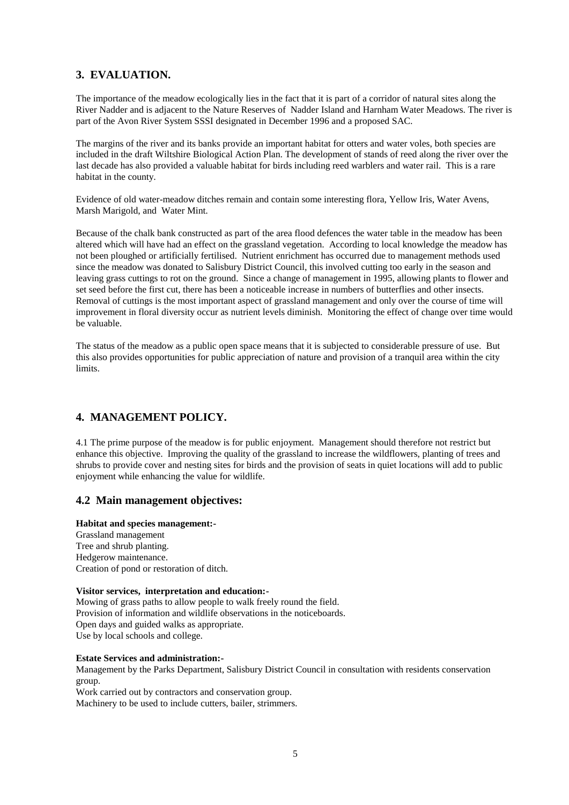# **3. EVALUATION.**

The importance of the meadow ecologically lies in the fact that it is part of a corridor of natural sites along the River Nadder and is adjacent to the Nature Reserves of Nadder Island and Harnham Water Meadows. The river is part of the Avon River System SSSI designated in December 1996 and a proposed SAC.

The margins of the river and its banks provide an important habitat for otters and water voles, both species are included in the draft Wiltshire Biological Action Plan. The development of stands of reed along the river over the last decade has also provided a valuable habitat for birds including reed warblers and water rail. This is a rare habitat in the county.

Evidence of old water-meadow ditches remain and contain some interesting flora, Yellow Iris, Water Avens, Marsh Marigold, and Water Mint.

Because of the chalk bank constructed as part of the area flood defences the water table in the meadow has been altered which will have had an effect on the grassland vegetation. According to local knowledge the meadow has not been ploughed or artificially fertilised. Nutrient enrichment has occurred due to management methods used since the meadow was donated to Salisbury District Council, this involved cutting too early in the season and leaving grass cuttings to rot on the ground. Since a change of management in 1995, allowing plants to flower and set seed before the first cut, there has been a noticeable increase in numbers of butterflies and other insects. Removal of cuttings is the most important aspect of grassland management and only over the course of time will improvement in floral diversity occur as nutrient levels diminish. Monitoring the effect of change over time would be valuable.

The status of the meadow as a public open space means that it is subjected to considerable pressure of use. But this also provides opportunities for public appreciation of nature and provision of a tranquil area within the city limits.

# **4. MANAGEMENT POLICY.**

4.1 The prime purpose of the meadow is for public enjoyment. Management should therefore not restrict but enhance this objective. Improving the quality of the grassland to increase the wildflowers, planting of trees and shrubs to provide cover and nesting sites for birds and the provision of seats in quiet locations will add to public enjoyment while enhancing the value for wildlife.

# **4.2 Main management objectives:**

#### **Habitat and species management:-**

Grassland management Tree and shrub planting. Hedgerow maintenance. Creation of pond or restoration of ditch.

#### **Visitor services, interpretation and education:-**

Mowing of grass paths to allow people to walk freely round the field. Provision of information and wildlife observations in the noticeboards. Open days and guided walks as appropriate. Use by local schools and college.

#### **Estate Services and administration:-**

Management by the Parks Department, Salisbury District Council in consultation with residents conservation group.

Work carried out by contractors and conservation group.

Machinery to be used to include cutters, bailer, strimmers.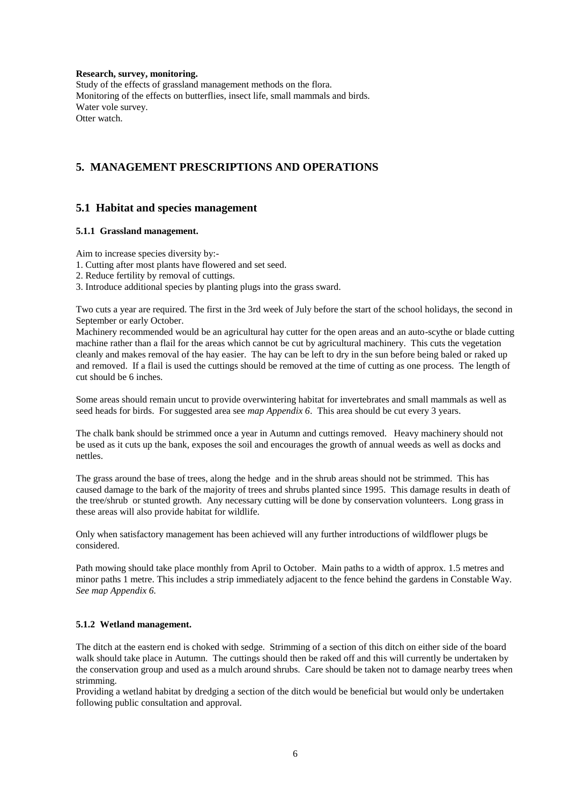**Research, survey, monitoring.**

Study of the effects of grassland management methods on the flora. Monitoring of the effects on butterflies, insect life, small mammals and birds. Water vole survey. Otter watch.

# **5. MANAGEMENT PRESCRIPTIONS AND OPERATIONS**

### **5.1 Habitat and species management**

#### **5.1.1 Grassland management.**

Aim to increase species diversity by:-

- 1. Cutting after most plants have flowered and set seed.
- 2. Reduce fertility by removal of cuttings.
- 3. Introduce additional species by planting plugs into the grass sward.

Two cuts a year are required. The first in the 3rd week of July before the start of the school holidays, the second in September or early October.

Machinery recommended would be an agricultural hay cutter for the open areas and an auto-scythe or blade cutting machine rather than a flail for the areas which cannot be cut by agricultural machinery. This cuts the vegetation cleanly and makes removal of the hay easier. The hay can be left to dry in the sun before being baled or raked up and removed. If a flail is used the cuttings should be removed at the time of cutting as one process. The length of cut should be 6 inches.

Some areas should remain uncut to provide overwintering habitat for invertebrates and small mammals as well as seed heads for birds. For suggested area see *map Appendix 6*. This area should be cut every 3 years.

The chalk bank should be strimmed once a year in Autumn and cuttings removed. Heavy machinery should not be used as it cuts up the bank, exposes the soil and encourages the growth of annual weeds as well as docks and nettles.

The grass around the base of trees, along the hedge and in the shrub areas should not be strimmed. This has caused damage to the bark of the majority of trees and shrubs planted since 1995. This damage results in death of the tree/shrub or stunted growth. Any necessary cutting will be done by conservation volunteers. Long grass in these areas will also provide habitat for wildlife.

Only when satisfactory management has been achieved will any further introductions of wildflower plugs be considered.

Path mowing should take place monthly from April to October. Main paths to a width of approx. 1.5 metres and minor paths 1 metre. This includes a strip immediately adjacent to the fence behind the gardens in Constable Way. *See map Appendix 6.*

#### **5.1.2 Wetland management.**

The ditch at the eastern end is choked with sedge. Strimming of a section of this ditch on either side of the board walk should take place in Autumn. The cuttings should then be raked off and this will currently be undertaken by the conservation group and used as a mulch around shrubs. Care should be taken not to damage nearby trees when strimming.

Providing a wetland habitat by dredging a section of the ditch would be beneficial but would only be undertaken following public consultation and approval.